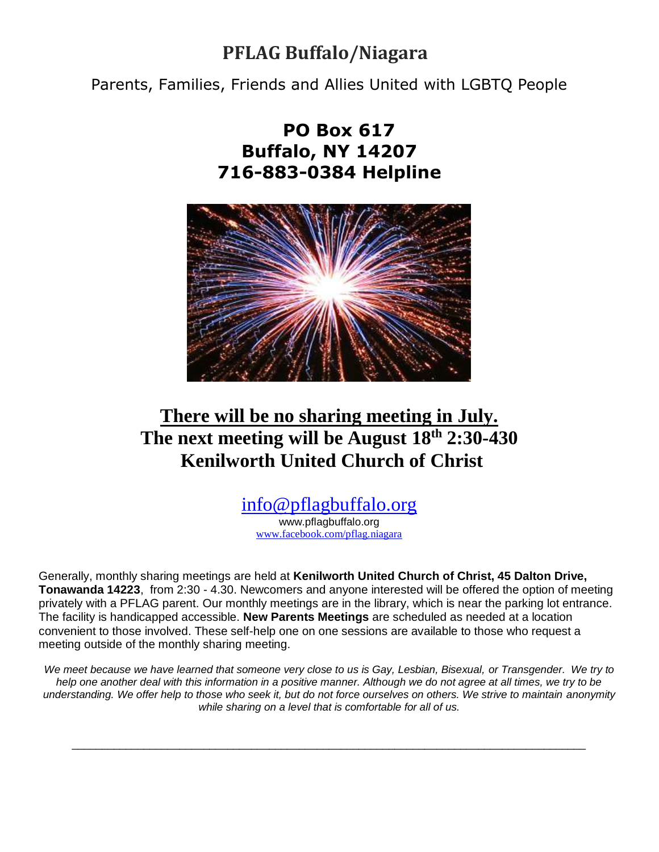## **PFLAG Buffalo/Niagara**

Parents, Families, Friends and Allies United with LGBTQ People

## **PO Box 617 Buffalo, NY 14207 716-883-0384 Helpline**



# **There will be no sharing meeting in July. The next meeting will be August 18th 2:30-430 Kenilworth United Church of Christ**

### [info@pflagbuffalo.org](mailto:info@pflagbuffalo.org)

www.pflagbuffalo.org [www.facebook.com/pflag.niagara](http://www.facebook.com/pflag.niagara)

Generally, monthly sharing meetings are held at **Kenilworth United Church of Christ, 45 Dalton Drive, Tonawanda 14223**, from 2:30 - 4.30. Newcomers and anyone interested will be offered the option of meeting privately with a PFLAG parent. Our monthly meetings are in the library, which is near the parking lot entrance. The facility is handicapped accessible. **New Parents Meetings** are scheduled as needed at a location convenient to those involved. These self-help one on one sessions are available to those who request a meeting outside of the monthly sharing meeting.

*We meet because we have learned that someone very close to us is Gay, Lesbian, Bisexual, or Transgender. We try to help one another deal with this information in a positive manner. Although we do not agree at all times, we try to be understanding. We offer help to those who seek it, but do not force ourselves on others. We strive to maintain anonymity while sharing on a level that is comfortable for all of us.*

\_\_\_\_\_\_\_\_\_\_\_\_\_\_\_\_\_\_\_\_\_\_\_\_\_\_\_\_\_\_\_\_\_\_\_\_\_\_\_\_\_\_\_\_\_\_\_\_\_\_\_\_\_\_\_\_\_\_\_\_\_\_\_\_\_\_\_\_\_\_\_\_\_\_\_\_\_\_\_\_\_\_\_\_\_\_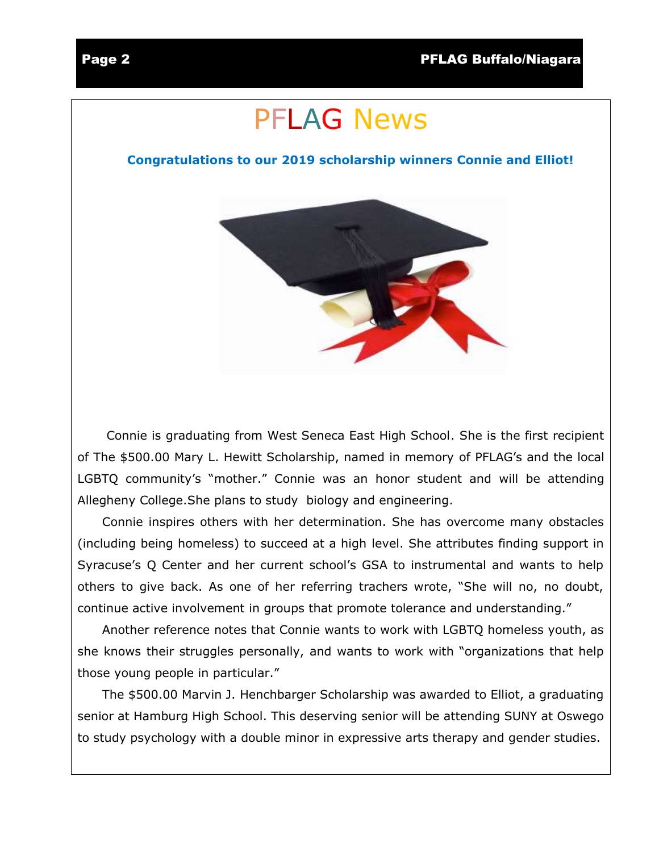# PFLAG News

#### **Congratulations to our 2019 scholarship winners Connie and Elliot!**



 Connie is graduating from West Seneca East High School. She is the first recipient of The \$500.00 Mary L. Hewitt Scholarship, named in memory of PFLAG's and the local LGBTQ community's "mother." Connie was an honor student and will be attending Allegheny College.She plans to study biology and engineering.

 Connie inspires others with her determination. She has overcome many obstacles (including being homeless) to succeed at a high level. She attributes finding support in Syracuse's Q Center and her current school's GSA to instrumental and wants to help others to give back. As one of her referring trachers wrote, "She will no, no doubt, continue active involvement in groups that promote tolerance and understanding."

 Another reference notes that Connie wants to work with LGBTQ homeless youth, as she knows their struggles personally, and wants to work with "organizations that help those young people in particular."

 The \$500.00 Marvin J. Henchbarger Scholarship was awarded to Elliot, a graduating senior at Hamburg High School. This deserving senior will be attending SUNY at Oswego to study psychology with a double minor in expressive arts therapy and gender studies.